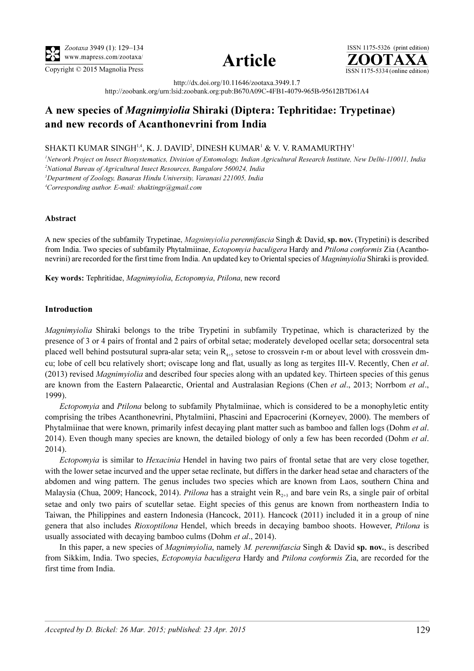

Copyright  $\odot$  2015 Magnolia Press  $\overline{\text{ISSN 1175-5334 (online edition)}}$ 



ISSN 1175-5326 (print edition)<br> $\overline{{\bf ZOOTAXA}}$ 

http://dx.doi.org/10.11646/zootaxa.3949.1.7

http://zoobank.org/urn:lsid:zoobank.org:pub:B670A09C-4FB1-4079-965B-95612B7D61A4

## A new species of Magnimyiolia Shiraki (Diptera: Tephritidae: Trypetinae) and new records of Acanthonevrini from India

## SHAKTI KUMAR SINGH $^{1,4}$ , K. J. DAVID $^2$ , DINESH KUMAR $^1$  & V. V. RAMAMURTHY $^1$

<sup>1</sup>Network Project on Insect Biosystematics, Division of Entomology, Indian Agricultural Research Institute, New Delhi-110011, India <sup>2</sup>National Bureau of Agricultural Insect Resources, Bangalore 560024, India <sup>3</sup>Department of Zoology, Banaras Hindu University, Varanasi 221005, India 4 Corresponding author. E-mail: shaktingp@gmail.com

Abstract

A new species of the subfamily Trypetinae, Magnimyiolia perennifascia Singh & David, sp. nov. (Trypetini) is described from India. Two species of subfamily Phytalmiinae, Ectopomyia baculigera Hardy and Ptilona conformis Zia (Acanthonevrini) are recorded for the first time from India. An updated key to Oriental species of *Magnimyiolia* Shiraki is provided.

Key words: Tephritidae, Magnimyiolia, Ectopomyia, Ptilona, new record

## Introduction

Magnimyiolia Shiraki belongs to the tribe Trypetini in subfamily Trypetinae, which is characterized by the presence of 3 or 4 pairs of frontal and 2 pairs of orbital setae; moderately developed ocellar seta; dorsocentral seta placed well behind postsutural supra-alar seta; vein  $R_{4+5}$  setose to crossvein r-m or about level with crossvein dmcu; lobe of cell bcu relatively short; oviscape long and flat, usually as long as tergites III-V. Recently, Chen et al. (2013) revised *Magnimyiolia* and described four species along with an updated key. Thirteen species of this genus are known from the Eastern Palaearctic, Oriental and Australasian Regions (Chen et al., 2013; Norrbom et al., 1999).

Ectopomyia and Ptilona belong to subfamily Phytalmiinae, which is considered to be a monophyletic entity comprising the tribes Acanthonevrini, Phytalmiini, Phascini and Epacrocerini (Korneyev, 2000). The members of Phytalmiinae that were known, primarily infest decaying plant matter such as bamboo and fallen logs (Dohm *et al.*) 2014). Even though many species are known, the detailed biology of only a few has been recorded (Dohm *et al.*) 2014).

Ectopomyia is similar to Hexacinia Hendel in having two pairs of frontal setae that are very close together, with the lower setae incurved and the upper setae reclinate, but differs in the darker head setae and characters of the abdomen and wing pattern. The genus includes two species which are known from Laos, southern China and Malaysia (Chua, 2009; Hancock, 2014). *Ptilona* has a straight vein  $R_{2+3}$  and bare vein Rs, a single pair of orbital setae and only two pairs of scutellar setae. Eight species of this genus are known from northeastern India to Taiwan, the Philippines and eastern Indonesia (Hancock, 2011). Hancock (2011) included it in a group of nine genera that also includes Rioxoptilona Hendel, which breeds in decaying bamboo shoots. However, Ptilona is usually associated with decaying bamboo culms (Dohm et al., 2014).

In this paper, a new species of *Magnimyiolia*, namely *M. perennifascia* Singh & David sp. nov., is described from Sikkim, India. Two species, *Ectopomyia baculigera* Hardy and *Ptilona conformis* Zia, are recorded for the first time from India.